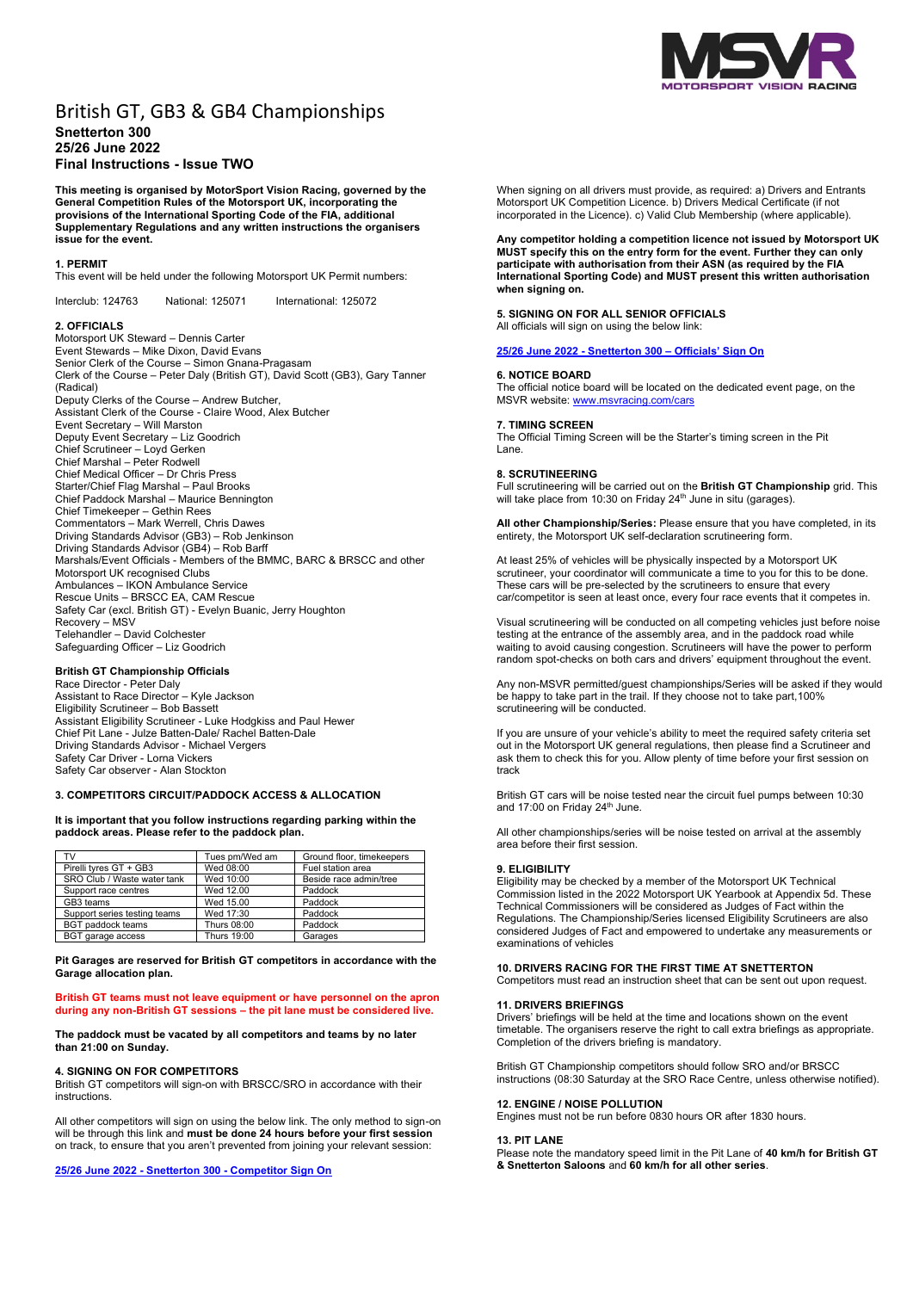

# British GT, GB3 & GB4 Championships **Snetterton 300 25/26 June 2022 Final Instructions - Issue TWO**

**This meeting is organised by MotorSport Vision Racing, governed by the General Competition Rules of the Motorsport UK, incorporating the provisions of the International Sporting Code of the FIA, additional Supplementary Regulations and any written instructions the organisers issue for the event.**

# **1. PERMIT**

This event will be held under the following Motorsport UK Permit numbers:

Interclub: 124763 National: 125071 International: 125072

## **2. OFFICIALS**

Motorsport UK Steward – Dennis Carter Event Stewards – Mike Dixon, David Evans Senior Clerk of the Course – Simon Gnana-Pragasam Clerk of the Course – Peter Daly (British GT), David Scott (GB3), Gary Tanner (Radical) Deputy Clerks of the Course – Andrew Butcher, Assistant Clerk of the Course - Claire Wood, Alex Butcher Event Secretary – Will Marston Deputy Event Secretary – Liz Goodrich Chief Scrutineer – Loyd Gerken Chief Marshal – Peter Rodwell Chief Medical Officer – Dr Chris Press Starter/Chief Flag Marshal – Paul Brooks Chief Paddock Marshal – Maurice Bennington Chief Timekeeper – Gethin Rees Commentators – Mark Werrell, Chris Dawes Driving Standards Advisor (GB3) – Rob Jenkinson Driving Standards Advisor (GB4) – Rob Barff Marshals/Event Officials - Members of the BMMC, BARC & BRSCC and other Motorsport UK recognised Clubs Ambulances – IKON Ambulance Service Rescue Units – BRSCC EA, CAM Rescue Safety Car (excl. British GT) - Evelyn Buanic, Jerry Houghton Recovery – MSV Telehandler – David Colchester Safeguarding Officer – Liz Goodrich

# **British GT Championship Officials**

Race Director - Peter Daly Assistant to Race Director – Kyle Jackson Eligibility Scrutineer – Bob Bassett Assistant Eligibility Scrutineer - Luke Hodgkiss and Paul Hewer Chief Pit Lane - Julze Batten-Dale/ Rachel Batten-Dale Driving Standards Advisor - Michael Vergers Safety Car Driver - Lorna Vickers Safety Car observer - Alan Stockton

# **3. COMPETITORS CIRCUIT/PADDOCK ACCESS & ALLOCATION**

**It is important that you follow instructions regarding parking within the paddock areas. Please refer to the paddock plan.** 

| TV                           | Tues pm/Wed am | Ground floor, timekeepers |
|------------------------------|----------------|---------------------------|
| Pirelli tyres GT + GB3       | Wed 08:00      | Fuel station area         |
| SRO Club / Waste water tank  | Wed 10:00      | Beside race admin/tree    |
| Support race centres         | Wed 12.00      | Paddock                   |
| GB3 teams                    | Wed 15.00      | Paddock                   |
| Support series testing teams | Wed 17:30      | Paddock                   |
| <b>BGT</b> paddock teams     | Thurs 08:00    | Paddock                   |
| BGT garage access            | Thurs 19:00    | Garages                   |

**Pit Garages are reserved for British GT competitors in accordance with the Garage allocation plan.**

# **British GT teams must not leave equipment or have personnel on the apron during any non-British GT sessions – the pit lane must be considered live.**

**The paddock must be vacated by all competitors and teams by no later than 21:00 on Sunday.**

## **4. SIGNING ON FOR COMPETITORS**

British GT competitors will sign-on with BRSCC/SRO in accordance with their instructions.

All other competitors will sign on using the below link. The only method to sign-on will be through this link and **must be done 24 hours before your first session** on track, to ensure that you aren't prevented from joining your relevant session:

**25/26 June 2022 - Snetterton 300 - Competitor Sign On**

When signing on all drivers must provide, as required: a) Drivers and Entrants Motorsport UK Competition Licence. b) Drivers Medical Certificate (if not incorporated in the Licence). c) Valid Club Membership (where applicable).

**Any competitor holding a competition licence not issued by Motorsport UK MUST specify this on the entry form for the event. Further they can only participate with authorisation from their ASN (as required by the FIA International Sporting Code) and MUST present this written authorisation**  when signing on.

# **5. SIGNING ON FOR ALL SENIOR OFFICIALS**

All officials will sign on using the below link:

# **25/26 June 2022 - Snetterton 300 – Officials' Sign On**

# **6. NOTICE BOARD**

The official notice board will be located on the dedicated event page, on the MSVR website: www.msvracing.com/cars

### **7. TIMING SCREEN**

The Official Timing Screen will be the Starter's timing screen in the Pit Lane.

## **8. SCRUTINEERING**

Full scrutineering will be carried out on the **British GT Championship** grid. This will take place from 10:30 on Friday 24<sup>th</sup> June in situ (garages).

**All other Championship/Series:** Please ensure that you have completed, in its entirety, the Motorsport UK self-declaration scrutineering form.

At least 25% of vehicles will be physically inspected by a Motorsport UK scrutineer, your coordinator will communicate a time to you for this to be done. These cars will be pre-selected by the scrutineers to ensure that every car/competitor is seen at least once, every four race events that it competes in.

Visual scrutineering will be conducted on all competing vehicles just before noise testing at the entrance of the assembly area, and in the paddock road while waiting to avoid causing congestion. Scrutineers will have the power to perform random spot-checks on both cars and drivers' equipment throughout the event.

Any non-MSVR permitted/guest championships/Series will be asked if they would be happy to take part in the trail. If they choose not to take part,100% scrutineering will be conducted.

If you are unsure of your vehicle's ability to meet the required safety criteria set out in the Motorsport UK general regulations, then please find a Scrutineer and ask them to check this for you. Allow plenty of time before your first session on track

British GT cars will be noise tested near the circuit fuel pumps between 10:30 and 17:00 on Friday 24<sup>th</sup> June.

All other championships/series will be noise tested on arrival at the assembly area before their first session.

# **9. ELIGIBILITY**

Eligibility may be checked by a member of the Motorsport UK Technical Commission listed in the 2022 Motorsport UK Yearbook at Appendix 5d. These Technical Commissioners will be considered as Judges of Fact within the Regulations. The Championship/Series licensed Eligibility Scrutineers are also considered Judges of Fact and empowered to undertake any measurements or examinations of vehicles

## **10. DRIVERS RACING FOR THE FIRST TIME AT SNETTERTON**

Competitors must read an instruction sheet that can be sent out upon request.

## **11. DRIVERS BRIEFINGS**

Drivers' briefings will be held at the time and locations shown on the event timetable. The organisers reserve the right to call extra briefings as appropriate. Completion of the drivers briefing is mandatory.

British GT Championship competitors should follow SRO and/or BRSCC instructions (08:30 Saturday at the SRO Race Centre, unless otherwise notified).

### **12. ENGINE / NOISE POLLUTION**

Engines must not be run before 0830 hours OR after 1830 hours.

## **13. PIT LANE**

Please note the mandatory speed limit in the Pit Lane of **40 km/h for British GT & Snetterton Saloons** and **60 km/h for all other series**.